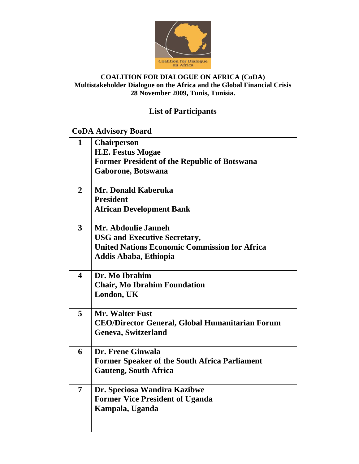

# **List of Participants**

|                         | <b>CoDA Advisory Board</b>                                                                                                                         |  |
|-------------------------|----------------------------------------------------------------------------------------------------------------------------------------------------|--|
| $\mathbf{1}$            | <b>Chairperson</b><br><b>H.E. Festus Mogae</b><br><b>Former President of the Republic of Botswana</b><br>Gaborone, Botswana                        |  |
| $\mathbf{2}$            | Mr. Donald Kaberuka<br><b>President</b><br><b>African Development Bank</b>                                                                         |  |
| $\overline{\mathbf{3}}$ | Mr. Abdoulie Janneh<br><b>USG and Executive Secretary,</b><br><b>United Nations Economic Commission for Africa</b><br><b>Addis Ababa, Ethiopia</b> |  |
| $\boldsymbol{4}$        | Dr. Mo Ibrahim<br><b>Chair, Mo Ibrahim Foundation</b><br>London, UK                                                                                |  |
| 5                       | <b>Mr. Walter Fust</b><br><b>CEO/Director General, Global Humanitarian Forum</b><br><b>Geneva, Switzerland</b>                                     |  |
| 6                       | Dr. Frene Ginwala<br><b>Former Speaker of the South Africa Parliament</b><br><b>Gauteng, South Africa</b>                                          |  |
| $\overline{7}$          | Dr. Speciosa Wandira Kazibwe<br><b>Former Vice President of Uganda</b><br>Kampala, Uganda                                                          |  |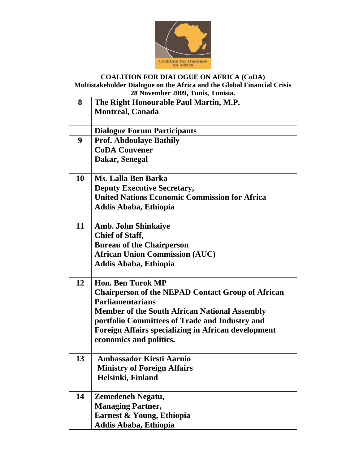

| 8  | The Right Honourable Paul Martin, M.P.                     |
|----|------------------------------------------------------------|
|    | <b>Montreal, Canada</b>                                    |
|    |                                                            |
|    | <b>Dialogue Forum Participants</b>                         |
| 9  | <b>Prof. Abdoulaye Bathily</b>                             |
|    | <b>CoDA Convener</b>                                       |
|    | Dakar, Senegal                                             |
|    |                                                            |
| 10 | Ms. Lalla Ben Barka                                        |
|    | <b>Deputy Executive Secretary,</b>                         |
|    | <b>United Nations Economic Commission for Africa</b>       |
|    | Addis Ababa, Ethiopia                                      |
| 11 | <b>Amb. John Shinkaiye</b>                                 |
|    | <b>Chief of Staff,</b>                                     |
|    | <b>Bureau of the Chairperson</b>                           |
|    | <b>African Union Commission (AUC)</b>                      |
|    | <b>Addis Ababa, Ethiopia</b>                               |
|    |                                                            |
| 12 | <b>Hon. Ben Turok MP</b>                                   |
|    | <b>Chairperson of the NEPAD Contact Group of African</b>   |
|    | <b>Parliamentarians</b>                                    |
|    | <b>Member of the South African National Assembly</b>       |
|    | portfolio Committees of Trade and Industry and             |
|    | <b>Foreign Affairs specializing in African development</b> |
|    | economics and politics.                                    |
|    |                                                            |
| 13 | <b>Ambassador Kirsti Aarnio</b>                            |
|    | <b>Ministry of Foreign Affairs</b>                         |
|    | Helsinki, Finland                                          |
|    |                                                            |
| 14 | Zemedeneh Negatu,                                          |
|    | <b>Managing Partner,</b>                                   |
|    | Earnest & Young, Ethiopia                                  |
|    | Addis Ababa, Ethiopia                                      |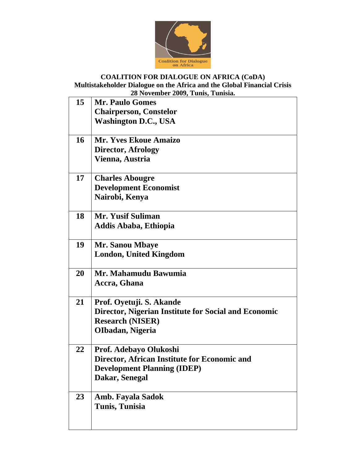

# **COALITION FOR DIALOGUE ON AFRICA (CoDA)**

**Multistakeholder Dialogue on the Africa and the Global Financial Crisis 28 November 2009, Tunis, Tunisia.**

| 15 | <b>Mr. Paulo Gomes</b>                               |
|----|------------------------------------------------------|
|    | <b>Chairperson, Constelor</b>                        |
|    | <b>Washington D.C., USA</b>                          |
|    |                                                      |
| 16 | <b>Mr. Yves Ekoue Amaizo</b>                         |
|    | <b>Director, Afrology</b>                            |
|    | Vienna, Austria                                      |
| 17 | <b>Charles Abougre</b>                               |
|    | <b>Development Economist</b>                         |
|    | Nairobi, Kenya                                       |
|    |                                                      |
| 18 | Mr. Yusif Suliman                                    |
|    | Addis Ababa, Ethiopia                                |
| 19 | <b>Mr. Sanou Mbaye</b>                               |
|    | <b>London, United Kingdom</b>                        |
|    |                                                      |
| 20 | Mr. Mahamudu Bawumia                                 |
|    | Accra, Ghana                                         |
| 21 | Prof. Oyetuji. S. Akande                             |
|    | Director, Nigerian Institute for Social and Economic |
|    | <b>Research (NISER)</b>                              |
|    | OIbadan, Nigeria                                     |
|    |                                                      |
| 22 | Prof. Adebayo Olukoshi                               |
|    | Director, African Institute for Economic and         |
|    | <b>Development Planning (IDEP)</b>                   |
|    | Dakar, Senegal                                       |
| 23 | <b>Amb. Fayala Sadok</b>                             |
|    | Tunis, Tunisia                                       |
|    |                                                      |
|    |                                                      |
|    |                                                      |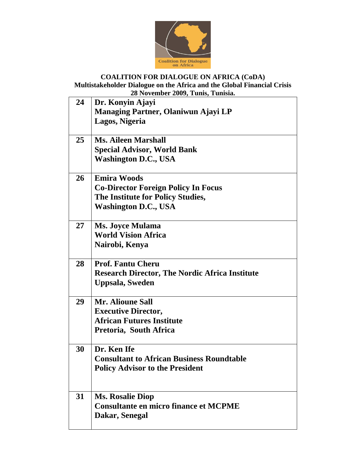

|    | 20 I to reflixer 2002, Tunis, Tunisia.                |
|----|-------------------------------------------------------|
| 24 | Dr. Konyin Ajayi                                      |
|    | <b>Managing Partner, Olaniwun Ajayi LP</b>            |
|    | Lagos, Nigeria                                        |
|    |                                                       |
| 25 | <b>Ms. Aileen Marshall</b>                            |
|    | <b>Special Advisor, World Bank</b>                    |
|    | <b>Washington D.C., USA</b>                           |
| 26 | <b>Emira Woods</b>                                    |
|    | <b>Co-Director Foreign Policy In Focus</b>            |
|    | The Institute for Policy Studies,                     |
|    | <b>Washington D.C., USA</b>                           |
|    |                                                       |
| 27 | <b>Ms. Joyce Mulama</b>                               |
|    | <b>World Vision Africa</b>                            |
|    | Nairobi, Kenya                                        |
| 28 | <b>Prof. Fantu Cheru</b>                              |
|    | <b>Research Director, The Nordic Africa Institute</b> |
|    | <b>Uppsala, Sweden</b>                                |
|    |                                                       |
| 29 | <b>Mr. Alioune Sall</b>                               |
|    | <b>Executive Director,</b>                            |
|    | <b>African Futures Institute</b>                      |
|    | Pretoria, South Africa                                |
| 30 | Dr. Ken Ife                                           |
|    | <b>Consultant to African Business Roundtable</b>      |
|    | <b>Policy Advisor to the President</b>                |
|    |                                                       |
|    |                                                       |
| 31 | <b>Ms. Rosalie Diop</b>                               |
|    | <b>Consultante en micro finance et MCPME</b>          |
|    | Dakar, Senegal                                        |
|    |                                                       |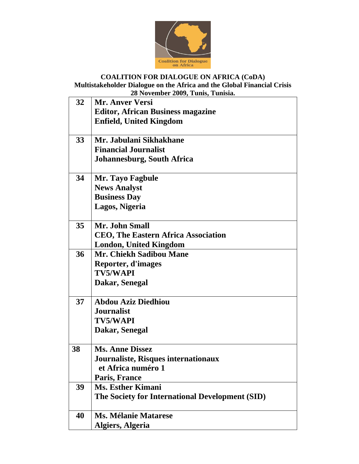

## **COALITION FOR DIALOGUE ON AFRICA (CoDA) Multistakeholder Dialogue on the Africa and the Global Financial Crisis**

**28 November 2009, Tunis, Tunisia. 32 Mr. Anver Versi Editor, African Business magazine Enfield, United Kingdom 33 Mr. Jabulani Sikhakhane Financial Journalist Johannesburg, South Africa 34 Mr. Tayo Fagbule News Analyst Business Day Lagos, Nigeria 35 Mr. John Small CEO, The Eastern Africa Association London, United Kingdom 36 Mr. Chiekh Sadibou Mane Reporter, d'images TV5/WAPI Dakar, Senegal 37 Abdou Aziz Diedhiou Journalist TV5/WAPI Dakar, Senegal 38 Ms. Anne Dissez Journaliste, Risques internationaux et Africa numéro 1 Paris, France 39 Ms. Esther Kimani The Society for International Development (SID) 40 Ms. Mélanie Matarese Algiers, Algeria**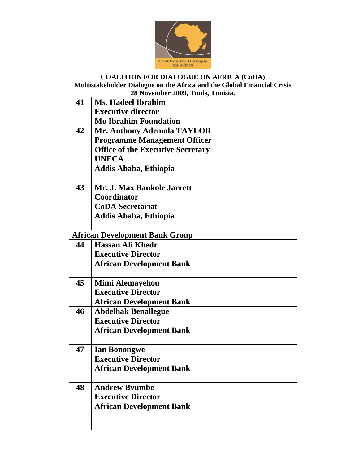

# **COALITION FOR DIALOGUE ON AFRICA (CoDA)**

### **Multistakeholder Dialogue on the Africa and the Global Financial Crisis 28 November 2009, Tunis, Tunisia.**

| 41 | <b>Ms. Hadeel Ibrahim</b>                |
|----|------------------------------------------|
|    | <b>Executive director</b>                |
|    | <b>Mo Ibrahim Foundation</b>             |
| 42 | Mr. Anthony Ademola TAYLOR               |
|    | <b>Programme Management Officer</b>      |
|    | <b>Office of the Executive Secretary</b> |
|    | <b>UNECA</b>                             |
|    | <b>Addis Ababa, Ethiopia</b>             |
|    |                                          |
| 43 | Mr. J. Max Bankole Jarrett               |
|    | Coordinator                              |
|    | <b>CoDA</b> Secretariat                  |
|    | <b>Addis Ababa, Ethiopia</b>             |
|    |                                          |
|    | <b>African Development Bank Group</b>    |
| 44 | <b>Hassan Ali Khedr</b>                  |
|    | <b>Executive Director</b>                |
|    | <b>African Development Bank</b>          |
|    |                                          |
| 45 | Mimi Alemayehou                          |
|    | <b>Executive Director</b>                |
|    | <b>African Development Bank</b>          |
| 46 | <b>Abdelhak Benallegue</b>               |
|    | <b>Executive Director</b>                |
|    | <b>African Development Bank</b>          |
| 47 | <b>Ian Bonongwe</b>                      |
|    | <b>Executive Director</b>                |
|    | <b>African Development Bank</b>          |
|    |                                          |
| 48 | <b>Andrew Byumbe</b>                     |
|    | <b>Executive Director</b>                |
|    | <b>African Development Bank</b>          |
|    |                                          |
|    |                                          |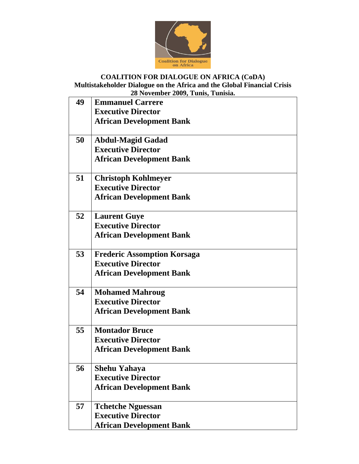

| 49 | <b>Emmanuel Carrere</b>            |
|----|------------------------------------|
|    | <b>Executive Director</b>          |
|    | <b>African Development Bank</b>    |
| 50 | <b>Abdul-Magid Gadad</b>           |
|    | <b>Executive Director</b>          |
|    |                                    |
|    | <b>African Development Bank</b>    |
| 51 | <b>Christoph Kohlmeyer</b>         |
|    | <b>Executive Director</b>          |
|    | <b>African Development Bank</b>    |
| 52 | <b>Laurent Guye</b>                |
|    | <b>Executive Director</b>          |
|    | <b>African Development Bank</b>    |
| 53 | <b>Frederic Assomption Korsaga</b> |
|    | <b>Executive Director</b>          |
|    | <b>African Development Bank</b>    |
|    |                                    |
| 54 | <b>Mohamed Mahroug</b>             |
|    | <b>Executive Director</b>          |
|    | <b>African Development Bank</b>    |
| 55 | <b>Montador Bruce</b>              |
|    | <b>Executive Director</b>          |
|    | <b>African Development Bank</b>    |
| 56 | <b>Shehu Yahaya</b>                |
|    | <b>Executive Director</b>          |
|    | <b>African Development Bank</b>    |
| 57 | <b>Tchetche Nguessan</b>           |
|    | <b>Executive Director</b>          |
|    | <b>African Development Bank</b>    |
|    |                                    |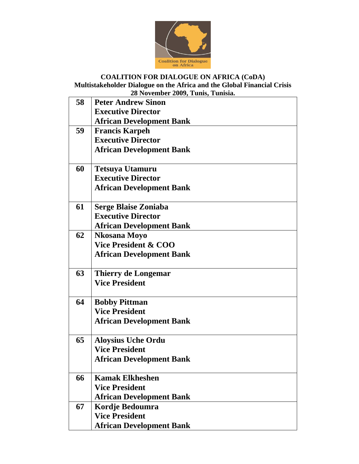

### **COALITION FOR DIALOGUE ON AFRICA (CoDA) Multistakeholder Dialogue on the Africa and the Global Financial Crisis**

**28 November 2009, Tunis, Tunisia.**

| 58 | <b>Peter Andrew Sinon</b>       |
|----|---------------------------------|
|    | <b>Executive Director</b>       |
|    | <b>African Development Bank</b> |
| 59 | <b>Francis Karpeh</b>           |
|    | <b>Executive Director</b>       |
|    | <b>African Development Bank</b> |
| 60 | <b>Tetsuya Utamuru</b>          |
|    | <b>Executive Director</b>       |
|    | <b>African Development Bank</b> |
|    |                                 |
| 61 | <b>Serge Blaise Zoniaba</b>     |
|    | <b>Executive Director</b>       |
|    | <b>African Development Bank</b> |
| 62 | Nkosana Moyo                    |
|    | <b>Vice President &amp; COO</b> |
|    | <b>African Development Bank</b> |
| 63 | <b>Thierry de Longemar</b>      |
|    | <b>Vice President</b>           |
|    |                                 |
| 64 | <b>Bobby Pittman</b>            |
|    | <b>Vice President</b>           |
|    | <b>African Development Bank</b> |
|    |                                 |
| 65 | <b>Aloysius Uche Ordu</b>       |
|    | <b>Vice President</b>           |
|    | <b>African Development Bank</b> |
| 66 | <b>Kamak Elkheshen</b>          |
|    | <b>Vice President</b>           |
|    | <b>African Development Bank</b> |
| 67 | Kordje Bedoumra                 |
|    | <b>Vice President</b>           |
|    | <b>African Development Bank</b> |